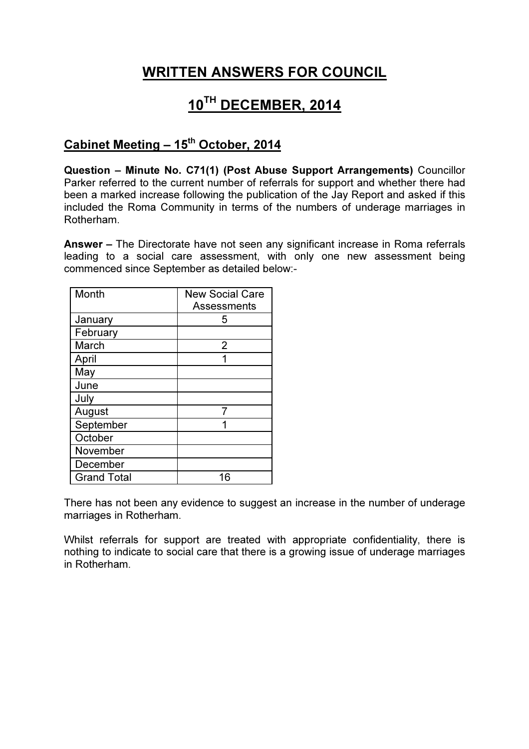## WRITTEN ANSWERS FOR COUNCIL

## 10TH DECEMBER, 2014

## Cabinet Meeting - 15<sup>th</sup> October, 2014

Question – Minute No. C71(1) (Post Abuse Support Arrangements) Councillor Parker referred to the current number of referrals for support and whether there had been a marked increase following the publication of the Jay Report and asked if this included the Roma Community in terms of the numbers of underage marriages in Rotherham.

Answer – The Directorate have not seen any significant increase in Roma referrals leading to a social care assessment, with only one new assessment being commenced since September as detailed below:-

| Month              | <b>New Social Care</b> |
|--------------------|------------------------|
|                    | <b>Assessments</b>     |
| January            | 5                      |
| February           |                        |
| March              | 2                      |
| April              |                        |
| May                |                        |
| June               |                        |
| July               |                        |
| August             |                        |
| September          |                        |
| October            |                        |
| November           |                        |
| December           |                        |
| <b>Grand Total</b> | 16                     |

There has not been any evidence to suggest an increase in the number of underage marriages in Rotherham.

Whilst referrals for support are treated with appropriate confidentiality, there is nothing to indicate to social care that there is a growing issue of underage marriages in Rotherham.